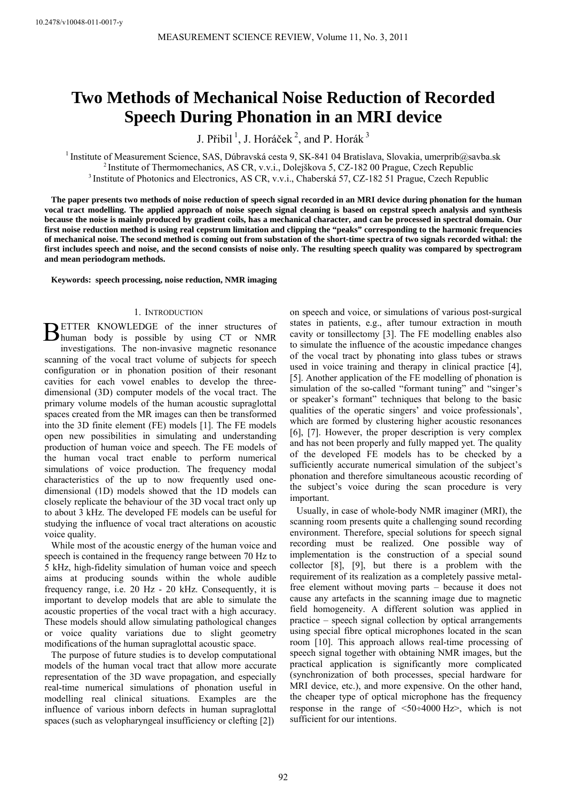# **Two Methods of Mechanical Noise Reduction of Recorded Speech During Phonation in an MRI device**

J. Přibil<sup>1</sup>, J. Horáček<sup>2</sup>, and P. Horák<sup>3</sup>

<sup>1</sup> Institute of Measurement Science, SAS, Dúbravská cesta 9, SK-841 04 Bratislava, Slovakia, umerprib@savba.sk <sup>2</sup> Institute of Thermomechanics, AS CR, v.v.i., Dolejškova 5, CZ-182 00 Prague, Czech Republic <sup>3</sup> Institute

**The paper presents two methods of noise reduction of speech signal recorded in an MRI device during phonation for the human vocal tract modelling. The applied approach of noise speech signal cleaning is based on cepstral speech analysis and synthesis because the noise is mainly produced by gradient coils, has a mechanical character, and can be processed in spectral domain. Our first noise reduction method is using real cepstrum limitation and clipping the "peaks" corresponding to the harmonic frequencies of mechanical noise. The second method is coming out from substation of the short-time spectra of two signals recorded withal: the first includes speech and noise, and the second consists of noise only. The resulting speech quality was compared by spectrogram and mean periodogram methods.** 

**Keywords: speech processing, noise reduction, NMR imaging** 

# 1. INTRODUCTION

ETTER KNOWLEDGE of the inner structures of **HETTER KNOWLEDGE** of the inner structures of human body is possible by using CT or NMR investigations. The non-invasive magnetic resonance scanning of the vocal tract volume of subjects for speech configuration or in phonation position of their resonant cavities for each vowel enables to develop the threedimensional (3D) computer models of the vocal tract. The primary volume models of the human acoustic supraglottal spaces created from the MR images can then be transformed into the 3D finite element (FE) models [1]. The FE models open new possibilities in simulating and understanding production of human voice and speech. The FE models of the human vocal tract enable to perform numerical simulations of voice production. The frequency modal characteristics of the up to now frequently used onedimensional (1D) models showed that the 1D models can closely replicate the behaviour of the 3D vocal tract only up to about 3 kHz. The developed FE models can be useful for studying the influence of vocal tract alterations on acoustic voice quality.

While most of the acoustic energy of the human voice and speech is contained in the frequency range between 70 Hz to 5 kHz, high-fidelity simulation of human voice and speech aims at producing sounds within the whole audible frequency range, i.e. 20 Hz - 20 kHz. Consequently, it is important to develop models that are able to simulate the acoustic properties of the vocal tract with a high accuracy. These models should allow simulating pathological changes or voice quality variations due to slight geometry modifications of the human supraglottal acoustic space.

The purpose of future studies is to develop computational models of the human vocal tract that allow more accurate representation of the 3D wave propagation, and especially real-time numerical simulations of phonation useful in modelling real clinical situations. Examples are the influence of various inborn defects in human supraglottal spaces (such as velopharyngeal insufficiency or clefting [2])

on speech and voice, or simulations of various post-surgical states in patients, e.g., after tumour extraction in mouth cavity or tonsillectomy [3]. The FE modelling enables also to simulate the influence of the acoustic impedance changes of the vocal tract by phonating into glass tubes or straws used in voice training and therapy in clinical practice [4], [5]. Another application of the FE modelling of phonation is simulation of the so-called "formant tuning" and "singer's or speaker's formant" techniques that belong to the basic qualities of the operatic singers' and voice professionals', which are formed by clustering higher acoustic resonances [6], [7]. However, the proper description is very complex and has not been properly and fully mapped yet. The quality of the developed FE models has to be checked by a sufficiently accurate numerical simulation of the subject's phonation and therefore simultaneous acoustic recording of the subject's voice during the scan procedure is very important.

Usually, in case of whole-body NMR imaginer (MRI), the scanning room presents quite a challenging sound recording environment. Therefore, special solutions for speech signal recording must be realized. One possible way of implementation is the construction of a special sound collector [8], [9], but there is a problem with the requirement of its realization as a completely passive metalfree element without moving parts – because it does not cause any artefacts in the scanning image due to magnetic field homogeneity. A different solution was applied in practice – speech signal collection by optical arrangements using special fibre optical microphones located in the scan room [10]. This approach allows real-time processing of speech signal together with obtaining NMR images, but the practical application is significantly more complicated (synchronization of both processes, special hardware for MRI device, etc.), and more expensive. On the other hand, the cheaper type of optical microphone has the frequency response in the range of <50÷4000 Hz>, which is not sufficient for our intentions.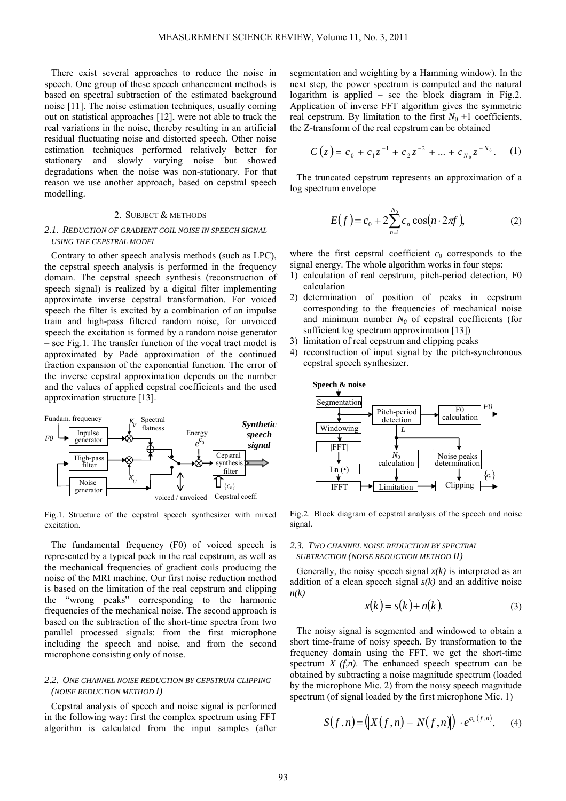There exist several approaches to reduce the noise in speech. One group of these speech enhancement methods is based on spectral subtraction of the estimated background noise [11]. The noise estimation techniques, usually coming out on statistical approaches [12], were not able to track the real variations in the noise, thereby resulting in an artificial residual fluctuating noise and distorted speech. Other noise estimation techniques performed relatively better for stationary and slowly varying noise but showed degradations when the noise was non-stationary. For that reason we use another approach, based on cepstral speech modelling.

#### 2. SUBJECT & METHODS

# *2.1. REDUCTION OF GRADIENT COIL NOISE IN SPEECH SIGNAL USING THE CEPSTRAL MODEL*

Contrary to other speech analysis methods (such as LPC), the cepstral speech analysis is performed in the frequency domain. The cepstral speech synthesis (reconstruction of speech signal) is realized by a digital filter implementing approximate inverse cepstral transformation. For voiced speech the filter is excited by a combination of an impulse train and high-pass filtered random noise, for unvoiced speech the excitation is formed by a random noise generator – see Fig.1. The transfer function of the vocal tract model is approximated by Padé approximation of the continued fraction expansion of the exponential function. The error of the inverse cepstral approximation depends on the number and the values of applied cepstral coefficients and the used approximation structure [13].



Fig.1. Structure of the cepstral speech synthesizer with mixed excitation.

The fundamental frequency (F0) of voiced speech is represented by a typical peek in the real cepstrum, as well as the mechanical frequencies of gradient coils producing the noise of the MRI machine. Our first noise reduction method is based on the limitation of the real cepstrum and clipping the "wrong peaks" corresponding to the harmonic frequencies of the mechanical noise. The second approach is based on the subtraction of the short-time spectra from two parallel processed signals: from the first microphone including the speech and noise, and from the second microphone consisting only of noise.

# *2.2. ONE CHANNEL NOISE REDUCTION BY CEPSTRUM CLIPPING (NOISE REDUCTION METHOD I)*

Cepstral analysis of speech and noise signal is performed in the following way: first the complex spectrum using FFT algorithm is calculated from the input samples (after

segmentation and weighting by a Hamming window). In the next step, the power spectrum is computed and the natural logarithm is applied – see the block diagram in Fig.2. Application of inverse FFT algorithm gives the symmetric real cepstrum. By limitation to the first  $N_0 + 1$  coefficients, the Z-transform of the real cepstrum can be obtained

$$
C(z) = c_0 + c_1 z^{-1} + c_2 z^{-2} + \dots + c_{N_0} z^{-N_0}.
$$
 (1)

The truncated cepstrum represents an approximation of a log spectrum envelope

$$
E(f) = c_0 + 2\sum_{n=1}^{N_0} c_n \cos(n \cdot 2\pi f),
$$
 (2)

where the first cepstral coefficient  $c_0$  corresponds to the signal energy. The whole algorithm works in four steps:

- 1) calculation of real cepstrum, pitch-period detection, F0 calculation
- 2) determination of position of peaks in cepstrum corresponding to the frequencies of mechanical noise and minimum number  $N_0$  of cepstral coefficients (for sufficient log spectrum approximation [13])
- 3) limitation of real cepstrum and clipping peaks
- 4) reconstruction of input signal by the pitch-synchronous cepstral speech synthesizer.



Fig.2. Block diagram of cepstral analysis of the speech and noise signal.

# *2.3. TWO CHANNEL NOISE REDUCTION BY SPECTRAL SUBTRACTION (NOISE REDUCTION METHOD II)*

Generally, the noisy speech signal  $x(k)$  is interpreted as an addition of a clean speech signal *s(k)* and an additive noise *n(k)* 

$$
x(k) = s(k) + n(k).
$$
 (3)

The noisy signal is segmented and windowed to obtain a short time-frame of noisy speech. By transformation to the frequency domain using the FFT, we get the short-time spectrum  $X(f,n)$ . The enhanced speech spectrum can be obtained by subtracting a noise magnitude spectrum (loaded by the microphone Mic. 2) from the noisy speech magnitude spectrum (of signal loaded by the first microphone Mic. 1)

$$
S(f,n) = \big(|X(f,n)|-|N(f,n)|\big) \cdot e^{\varphi_n(f,n)},\qquad(4)
$$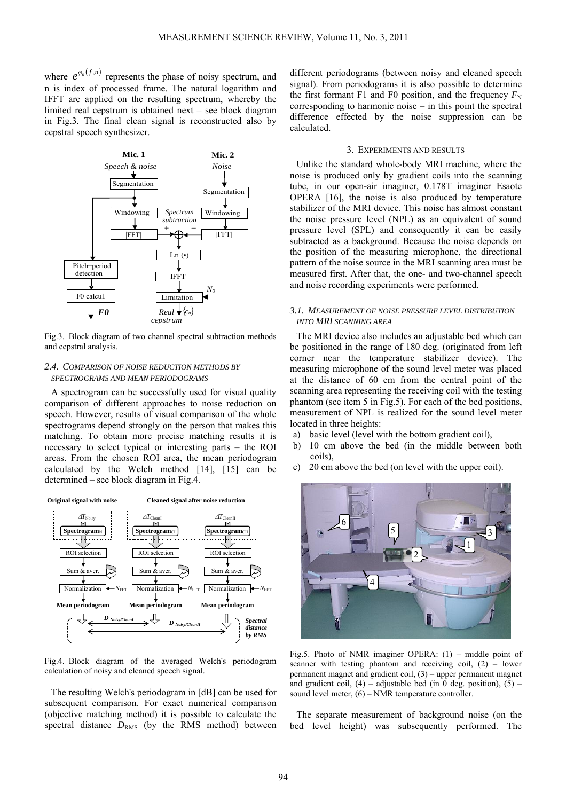where  $e^{\varphi_n(f,n)}$  represents the phase of noisy spectrum, and n is index of processed frame. The natural logarithm and IFFT are applied on the resulting spectrum, whereby the limited real cepstrum is obtained next – see block diagram in Fig.3. The final clean signal is reconstructed also by cepstral speech synthesizer.



Fig.3. Block diagram of two channel spectral subtraction methods and cepstral analysis.

# *2.4. COMPARISON OF NOISE REDUCTION METHODS BY SPECTROGRAMS AND MEAN PERIODOGRAMS*

A spectrogram can be successfully used for visual quality comparison of different approaches to noise reduction on speech. However, results of visual comparison of the whole spectrograms depend strongly on the person that makes this matching. To obtain more precise matching results it is necessary to select typical or interesting parts – the ROI areas. From the chosen ROI area, the mean periodogram calculated by the Welch method [14], [15] can be determined – see block diagram in Fig.4.



Fig.4. Block diagram of the averaged Welch's periodogram calculation of noisy and cleaned speech signal.

The resulting Welch's periodogram in [dB] can be used for subsequent comparison. For exact numerical comparison (objective matching method) it is possible to calculate the spectral distance  $D_{RMS}$  (by the RMS method) between different periodograms (between noisy and cleaned speech signal). From periodograms it is also possible to determine the first formant F1 and F0 position, and the frequency  $F_N$ corresponding to harmonic noise – in this point the spectral difference effected by the noise suppression can be calculated.

### 3. EXPERIMENTS AND RESULTS

Unlike the standard whole-body MRI machine, where the noise is produced only by gradient coils into the scanning tube, in our open-air imaginer, 0.178T imaginer Esaote OPERA [16], the noise is also produced by temperature stabilizer of the MRI device. This noise has almost constant the noise pressure level (NPL) as an equivalent of sound pressure level (SPL) and consequently it can be easily subtracted as a background. Because the noise depends on the position of the measuring microphone, the directional pattern of the noise source in the MRI scanning area must be measured first. After that, the one- and two-channel speech and noise recording experiments were performed.

# *3.1. MEASUREMENT OF NOISE PRESSURE LEVEL DISTRIBUTION INTO MRI SCANNING AREA*

The MRI device also includes an adjustable bed which can be positioned in the range of 180 deg. (originated from left corner near the temperature stabilizer device). The measuring microphone of the sound level meter was placed at the distance of 60 cm from the central point of the scanning area representing the receiving coil with the testing phantom (see item 5 in Fig.5). For each of the bed positions, measurement of NPL is realized for the sound level meter located in three heights:

- a) basic level (level with the bottom gradient coil),
- b) 10 cm above the bed (in the middle between both coils),
- c) 20 cm above the bed (on level with the upper coil).



Fig.5. Photo of NMR imaginer OPERA: (1) – middle point of scanner with testing phantom and receiving coil,  $(2)$  – lower permanent magnet and gradient coil, (3) – upper permanent magnet and gradient coil,  $(4)$  – adjustable bed (in 0 deg. position),  $(5)$  – sound level meter, (6) – NMR temperature controller.

The separate measurement of background noise (on the bed level height) was subsequently performed. The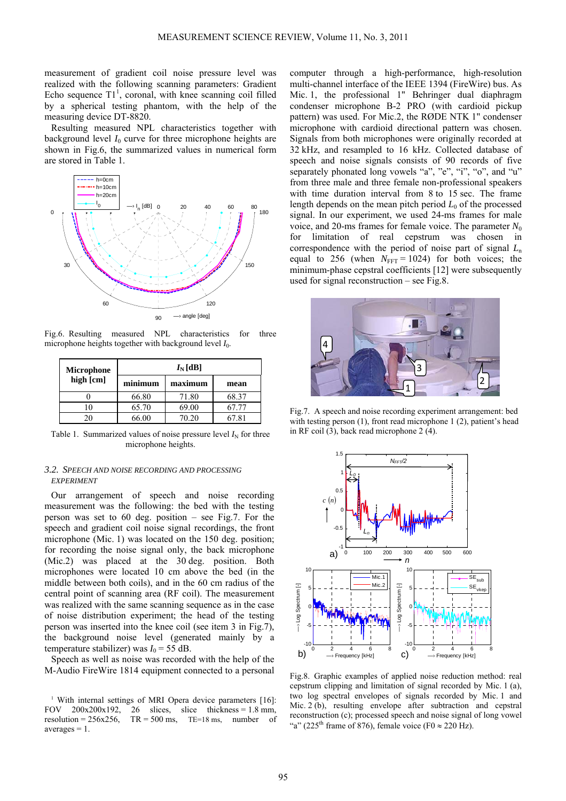measurement of gradient coil noise pressure level was realized with the following scanning parameters: Gradient Echo sequence  $T1<sup>1</sup>$ , coronal, with knee scanning coil filled by a spherical testing phantom, with the help of the measuring device DT-8820.

Resulting measured NPL characteristics together with background level  $I_0$  curve for three microphone heights are shown in Fig.6, the summarized values in numerical form are stored in Table 1.



Fig.6. Resulting measured NPL characteristics for three microphone heights together with background level  $I_0$ .

| <b>Microphone</b> | $I_{\rm N}[\text{dB}]$ |         |         |  |
|-------------------|------------------------|---------|---------|--|
| high [cm]         | minimum                | maximum | mean    |  |
|                   | 66.80                  | 71.80   | 68.37   |  |
|                   | 65.70                  | 69.00   | 57.77   |  |
| າ ເ               | 66 OO                  | 70.20   | $-7.81$ |  |

Table 1. Summarized values of noise pressure level  $I_N$  for three microphone heights.

# *3.2. SPEECH AND NOISE RECORDING AND PROCESSING EXPERIMENT*

Our arrangement of speech and noise recording measurement was the following: the bed with the testing person was set to 60 deg. position – see Fig.7. For the speech and gradient coil noise signal recordings, the front microphone (Mic. 1) was located on the 150 deg. position; for recording the noise signal only, the back microphone (Mic.2) was placed at the 30 deg. position. Both microphones were located 10 cm above the bed (in the middle between both coils), and in the 60 cm radius of the central point of scanning area (RF coil). The measurement was realized with the same scanning sequence as in the case of noise distribution experiment; the head of the testing person was inserted into the knee coil (see item 3 in Fig.7), the background noise level (generated mainly by a temperature stabilizer) was  $I_0 = 55$  dB.

Speech as well as noise was recorded with the help of the M-Audio FireWire 1814 equipment connected to a personal computer through a high-performance, high-resolution multi-channel interface of the IEEE 1394 (FireWire) bus. As Mic. 1, the professional 1" Behringer dual diaphragm condenser microphone B-2 PRO (with cardioid pickup pattern) was used. For Mic.2, the RØDE NTK 1" condenser microphone with cardioid directional pattern was chosen. Signals from both microphones were originally recorded at 32 kHz, and resampled to 16 kHz. Collected database of speech and noise signals consists of 90 records of five separately phonated long vowels "a", "e", "i", "o", and "u" from three male and three female non-professional speakers with time duration interval from 8 to 15 sec. The frame length depends on the mean pitch period  $L_0$  of the processed signal. In our experiment, we used 24-ms frames for male voice, and 20-ms frames for female voice. The parameter  $N_0$ for limitation of real cepstrum was chosen in correspondence with the period of noise part of signal *L*<sup>n</sup> equal to 256 (when  $N_{\text{FFT}} = 1024$ ) for both voices; the minimum-phase cepstral coefficients [12] were subsequently used for signal reconstruction – see Fig.8.



Fig.7. A speech and noise recording experiment arrangement: bed with testing person (1), front read microphone 1 (2), patient's head in RF coil (3), back read microphone 2 (4).



Fig.8. Graphic examples of applied noise reduction method: real cepstrum clipping and limitation of signal recorded by Mic. 1 (a), two log spectral envelopes of signals recorded by Mic. 1 and Mic. 2 (b), resulting envelope after subtraction and cepstral reconstruction (c); processed speech and noise signal of long vowel "a" (225<sup>th</sup> frame of 876), female voice (F0  $\approx$  220 Hz).

<sup>&</sup>lt;sup>1</sup> With internal settings of MRI Opera device parameters [16]: FOV  $200x200x192$ ,  $26$  slices, slice thickness = 1.8 mm,<br>resolution =  $256x256$ . TR =  $500$  ms, TE=18 ms, number of  $TR = 500$  ms,  $TE=18$  ms, number of  $averages = 1$ .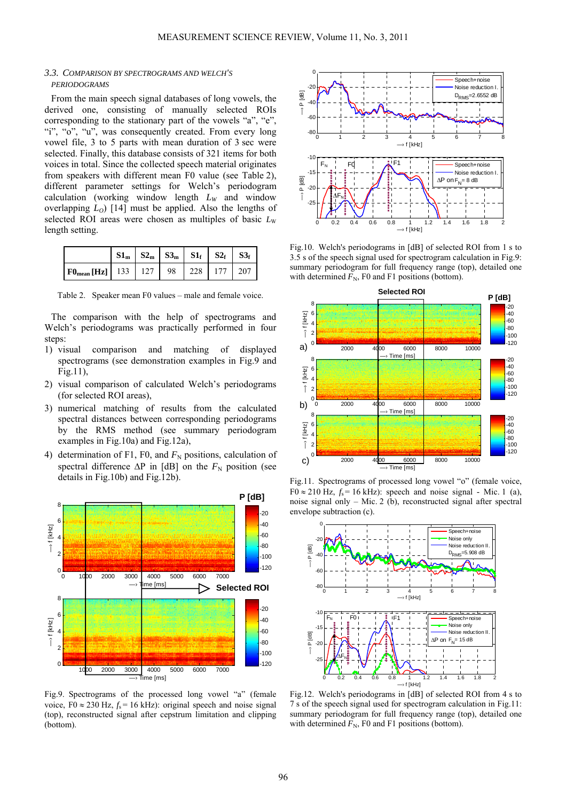# *3.3. COMPARISON BY SPECTROGRAMS AND WELCH'S PERIODOGRAMS*

From the main speech signal databases of long vowels, the derived one, consisting of manually selected ROIs corresponding to the stationary part of the vowels "a", "e", "i", "o", "u", was consequently created. From every long vowel file, 3 to 5 parts with mean duration of 3 sec were selected. Finally, this database consists of 321 items for both voices in total. Since the collected speech material originates from speakers with different mean F0 value (see Table 2), different parameter settings for Welch's periodogram calculation (working window length  $L_W$  and window overlapping  $L_0$  [14] must be applied. Also the lengths of selected ROI areas were chosen as multiples of basic  $L<sub>w</sub>$ length setting.

|                                                                                                    |  |  | $S1_m$ $S2_m$ $S3_m$ $S1_f$ $S2_f$ $S3_f$ |  |
|----------------------------------------------------------------------------------------------------|--|--|-------------------------------------------|--|
| $\mid \mathbf{F0}_{\text{mean}}[\mathbf{Hz}] \mid 133 \mid 127 \mid 98 \mid 228 \mid 177 \mid 207$ |  |  |                                           |  |

Table 2. Speaker mean F0 values – male and female voice.

The comparison with the help of spectrograms and Welch's periodograms was practically performed in four steps:

- 1) visual comparison and matching of displayed spectrograms (see demonstration examples in Fig.9 and Fig.11),
- 2) visual comparison of calculated Welch's periodograms (for selected ROI areas),
- 3) numerical matching of results from the calculated spectral distances between corresponding periodograms by the RMS method (see summary periodogram examples in Fig.10a) and Fig.12a),
- 4) determination of F1, F0, and  $F_N$  positions, calculation of spectral difference  $\Delta P$  in [dB] on the  $F_N$  position (see details in Fig.10b) and Fig.12b).



Fig.9. Spectrograms of the processed long vowel "a" (female voice,  $F0 \approx 230$  Hz,  $f_s = 16$  kHz): original speech and noise signal (top), reconstructed signal after cepstrum limitation and clipping (bottom).



Fig.10. Welch's periodograms in [dB] of selected ROI from 1 s to 3.5 s of the speech signal used for spectrogram calculation in Fig.9: summary periodogram for full frequency range (top), detailed one with determined  $F_N$ , F0 and F1 positions (bottom).



Fig.11. Spectrograms of processed long vowel "o" (female voice,  $F0 \approx 210$  Hz,  $f_s = 16$  kHz): speech and noise signal - Mic. 1 (a), noise signal only – Mic. 2 (b), reconstructed signal after spectral envelope subtraction (c).



Fig.12. Welch's periodograms in [dB] of selected ROI from 4 s to 7 s of the speech signal used for spectrogram calculation in Fig.11: summary periodogram for full frequency range (top), detailed one with determined  $F_N$ , F0 and F1 positions (bottom).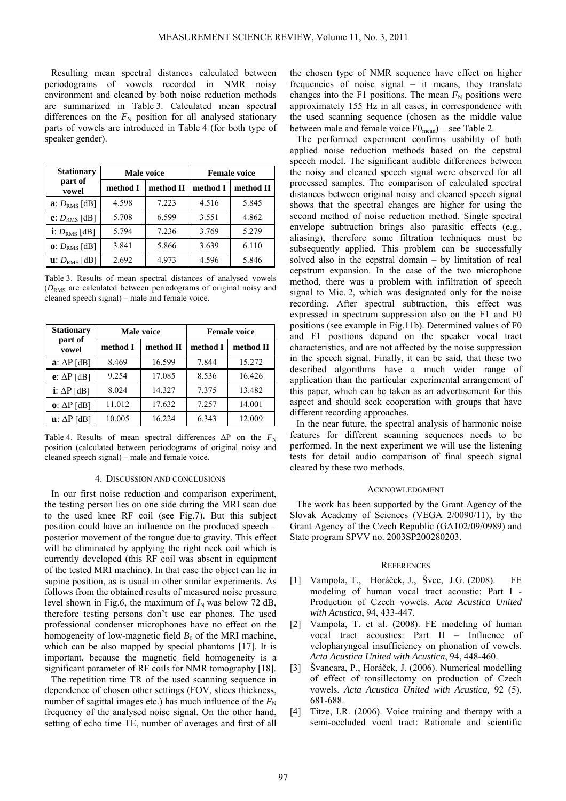Resulting mean spectral distances calculated between periodograms of vowels recorded in NMR noisy environment and cleaned by both noise reduction methods are summarized in Table 3. Calculated mean spectral differences on the  $F_N$  position for all analysed stationary parts of vowels are introduced in Table 4 (for both type of speaker gender).

| <b>Stationary</b>                 |          | Male voice | <b>Female voice</b> |           |  |
|-----------------------------------|----------|------------|---------------------|-----------|--|
| part of<br>vowel                  | method I | method II  | method I            | method II |  |
| a: $D_{RMS}$ [dB]                 | 4.598    | 7.223      | 4.516               | 5.845     |  |
| e: $D_{RMS}$ [dB]                 | 5.708    | 6.599      | 3.551               | 4.862     |  |
| i: $D_{RMS}$ [dB]                 | 5.794    | 7.236      | 3.769               | 5.279     |  |
| $0: D_{RMS}$ [dB]                 | 3.841    | 5.866      | 3.639               | 6.110     |  |
| $\mathbf{u}$ : $D_{\rm RMS}$ [dB] | 2.692    | 4.973      | 4.596               | 5.846     |  |

Table 3. Results of mean spectral distances of analysed vowels  $(D<sub>RMS</sub>$  are calculated between periodograms of original noisy and cleaned speech signal) – male and female voice.

| <b>Stationary</b>              | Male voice |           | <b>Female voice</b> |           |
|--------------------------------|------------|-----------|---------------------|-----------|
| part of<br>vowel               | method I   | method II | method I            | method II |
| $\mathbf{a}$ : $\Delta P$ [dB] | 8.469      | 16.599    | 7.844               | 15.272    |
| $e: \Delta P$ [dB]             | 9.254      | 17.085    | 8.536               | 16.426    |
| $i$ : $\Delta P$ [dB]          | 8.024      | 14.327    | 7.375               | 13.482    |
| $\mathbf{o}$ : $\Delta P$ [dB] | 11.012     | 17.632    | 7.257               | 14.001    |
| $\mathbf{u}$ : $\Delta P$ [dB] | 10.005     | 16.224    | 6.343               | 12.009    |

Table 4. Results of mean spectral differences  $\Delta P$  on the  $F_N$ position (calculated between periodograms of original noisy and cleaned speech signal) – male and female voice.

#### 4. DISCUSSION AND CONCLUSIONS

In our first noise reduction and comparison experiment, the testing person lies on one side during the MRI scan due to the used knee RF coil (see Fig.7). But this subject position could have an influence on the produced speech – posterior movement of the tongue due to gravity. This effect will be eliminated by applying the right neck coil which is currently developed (this RF coil was absent in equipment of the tested MRI machine). In that case the object can lie in supine position, as is usual in other similar experiments. As follows from the obtained results of measured noise pressure level shown in Fig.6, the maximum of  $I_N$  was below 72 dB, therefore testing persons don't use ear phones. The used professional condenser microphones have no effect on the homogeneity of low-magnetic field  $B_0$  of the MRI machine, which can be also mapped by special phantoms [17]. It is important, because the magnetic field homogeneity is a significant parameter of RF coils for NMR tomography [18].

The repetition time TR of the used scanning sequence in dependence of chosen other settings (FOV, slices thickness, number of sagittal images etc.) has much influence of the  $F<sub>N</sub>$ frequency of the analysed noise signal. On the other hand, setting of echo time TE, number of averages and first of all

the chosen type of NMR sequence have effect on higher frequencies of noise signal – it means, they translate changes into the F1 positions. The mean  $F_N$  positions were approximately 155 Hz in all cases, in correspondence with the used scanning sequence (chosen as the middle value between male and female voice  $F0_{mean}$ ) – see Table 2.

The performed experiment confirms usability of both applied noise reduction methods based on the cepstral speech model. The significant audible differences between the noisy and cleaned speech signal were observed for all processed samples. The comparison of calculated spectral distances between original noisy and cleaned speech signal shows that the spectral changes are higher for using the second method of noise reduction method. Single spectral envelope subtraction brings also parasitic effects (e.g., aliasing), therefore some filtration techniques must be subsequently applied. This problem can be successfully solved also in the cepstral domain – by limitation of real cepstrum expansion. In the case of the two microphone method, there was a problem with infiltration of speech signal to Mic. 2, which was designated only for the noise recording. After spectral subtraction, this effect was expressed in spectrum suppression also on the F1 and F0 positions (see example in Fig.11b). Determined values of F0 and F1 positions depend on the speaker vocal tract characteristics, and are not affected by the noise suppression in the speech signal. Finally, it can be said, that these two described algorithms have a much wider range of application than the particular experimental arrangement of this paper, which can be taken as an advertisement for this aspect and should seek cooperation with groups that have different recording approaches.

In the near future, the spectral analysis of harmonic noise features for different scanning sequences needs to be performed. In the next experiment we will use the listening tests for detail audio comparison of final speech signal cleared by these two methods.

#### ACKNOWLEDGMENT

The work has been supported by the Grant Agency of the Slovak Academy of Sciences (VEGA 2/0090/11), by the Grant Agency of the Czech Republic (GA102/09/0989) and State program SPVV no. 2003SP200280203.

#### **REFERENCES**

- [1] Vampola, T., Horáček, J., Švec, J.G. (2008). FE modeling of human vocal tract acoustic: Part I - Production of Czech vowels. *Acta Acustica United with Acustica*, 94, 433-447.
- [2] Vampola, T. et al. (2008). FE modeling of human vocal tract acoustics: Part II – Influence of velopharyngeal insufficiency on phonation of vowels. *Acta Acustica United with Acustica*, 94, 448-460.
- [3] Švancara, P., Horáček, J. (2006). Numerical modelling of effect of tonsillectomy on production of Czech vowels. *Acta Acustica United with Acustica,* 92 (5), 681-688.
- [4] Titze, I.R. (2006). Voice training and therapy with a semi-occluded vocal tract: Rationale and scientific